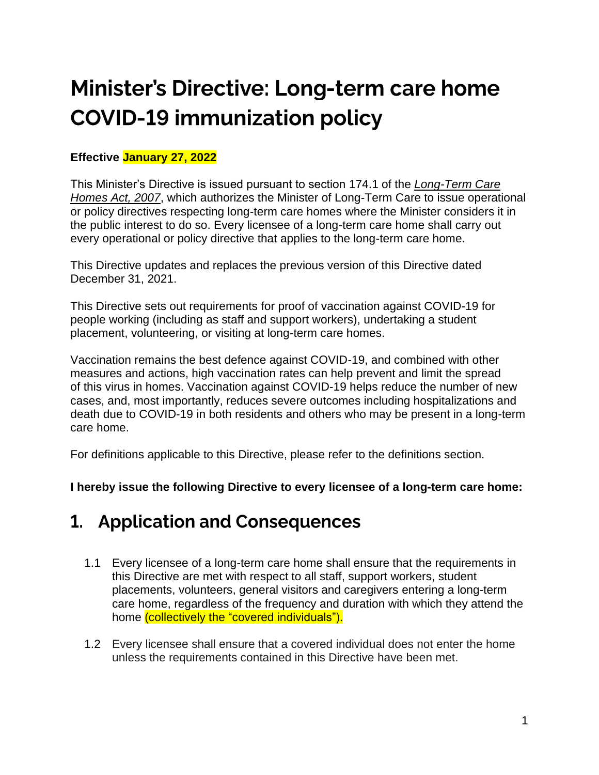# **Minister's Directive: Long-term care home COVID-19 immunization policy**

#### **Effective January 27, 2022**

This Minister's Directive is issued pursuant to section 174.1 of the *[Long-Term Care](https://www.ontario.ca/laws/statute/07l08)  [Homes Act,](https://www.ontario.ca/laws/statute/07l08) 2007*, which authorizes the Minister of Long-Term Care to issue operational or policy directives respecting long-term care homes where the Minister considers it in the public interest to do so. Every licensee of a long-term care home shall carry out every operational or policy directive that applies to the long-term care home.

This Directive updates and replaces the previous version of this Directive dated December 31, 2021.

This Directive sets out requirements for proof of vaccination against COVID-19 for people working (including as staff and support workers), undertaking a student placement, volunteering, or visiting at long-term care homes.

Vaccination remains the best defence against COVID-19, and combined with other measures and actions, high vaccination rates can help prevent and limit the spread of this virus in homes. Vaccination against COVID-19 helps reduce the number of new cases, and, most importantly, reduces severe outcomes including hospitalizations and death due to COVID-19 in both residents and others who may be present in a long-term care home.

For definitions applicable to this Directive, please refer to the definitions section.

**I hereby issue the following Directive to every licensee of a long-term care home:**

#### 1. Application and Consequences

- 1.1 Every licensee of a long-term care home shall ensure that the requirements in this Directive are met with respect to all staff, support workers, student placements, volunteers, general visitors and caregivers entering a long-term care home, regardless of the frequency and duration with which they attend the home (collectively the "covered individuals").
- 1.2 Every licensee shall ensure that a covered individual does not enter the home unless the requirements contained in this Directive have been met.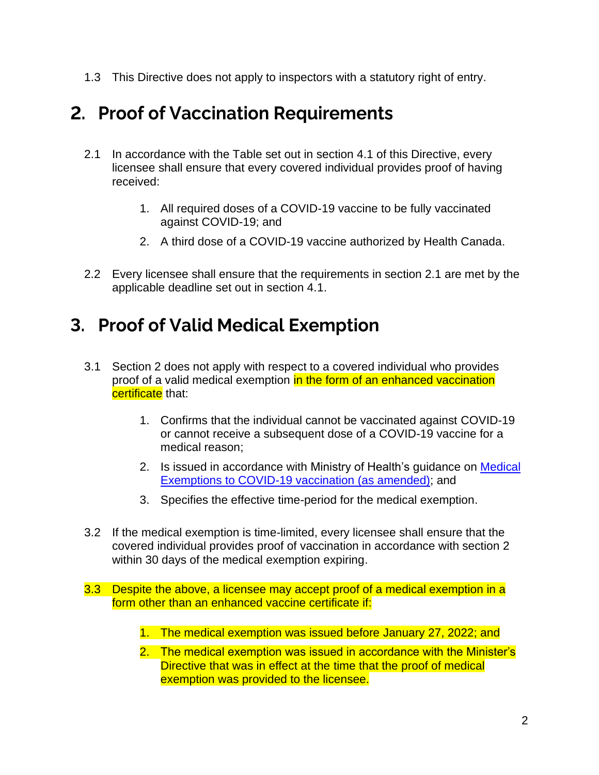1.3 This Directive does not apply to inspectors with a statutory right of entry.

### 2. Proof of Vaccination Requirements

- 2.1 In accordance with the Table set out in section 4.1 of this Directive, every licensee shall ensure that every covered individual provides proof of having received:
	- 1. All required doses of a COVID-19 vaccine to be fully vaccinated against COVID-19; and
	- 2. A third dose of a COVID-19 vaccine authorized by Health Canada.
- 2.2 Every licensee shall ensure that the requirements in section 2.1 are met by the applicable deadline set out in section 4.1.

#### 3. Proof of Valid Medical Exemption

- 3.1 Section 2 does not apply with respect to a covered individual who provides proof of a valid medical exemption in the form of an enhanced vaccination certificate that:
	- 1. Confirms that the individual cannot be vaccinated against COVID-19 or cannot receive a subsequent dose of a COVID-19 vaccine for a medical reason;
	- 2. Is issued in accordance with Ministry of Health's guidance on [Medical](https://health.gov.on.ca/en/pro/programs/publichealth/coronavirus/docs/vaccine/medical_exemptions_to_vaccination.pdf)  [Exemptions to COVID-19 vaccination](https://health.gov.on.ca/en/pro/programs/publichealth/coronavirus/docs/vaccine/medical_exemptions_to_vaccination.pdf) (as amended); and
	- 3. Specifies the effective time-period for the medical exemption.
- 3.2 If the medical exemption is time-limited, every licensee shall ensure that the covered individual provides proof of vaccination in accordance with section 2 within 30 days of the medical exemption expiring.
- 3.3 Despite the above, a licensee may accept proof of a medical exemption in a form other than an enhanced vaccine certificate if:
	- 1. The medical exemption was issued before January 27, 2022; and
	- 2. The medical exemption was issued in accordance with the Minister's Directive that was in effect at the time that the proof of medical exemption was provided to the licensee.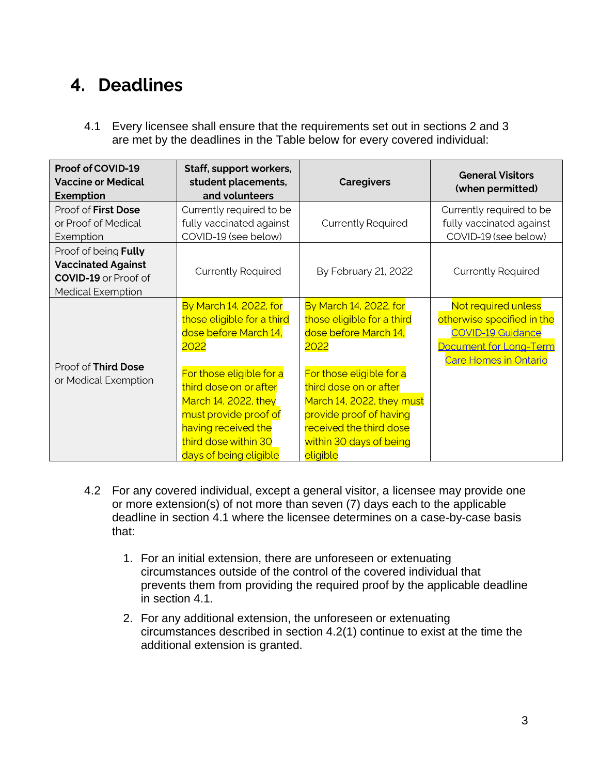# 4. Deadlines

4.1 Every licensee shall ensure that the requirements set out in sections 2 and 3 are met by the deadlines in the Table below for every covered individual:

| <b>Proof of COVID-19</b><br><b>Vaccine or Medical</b><br>Exemption                   | Staff, support workers,<br>student placements,<br>and volunteers                                                                                                             | <b>Caregivers</b>                                                                                                                                                            | <b>General Visitors</b><br>(when permitted)                                                                                             |
|--------------------------------------------------------------------------------------|------------------------------------------------------------------------------------------------------------------------------------------------------------------------------|------------------------------------------------------------------------------------------------------------------------------------------------------------------------------|-----------------------------------------------------------------------------------------------------------------------------------------|
| Proof of First Dose                                                                  | Currently required to be                                                                                                                                                     |                                                                                                                                                                              | Currently required to be                                                                                                                |
| or Proof of Medical<br>Exemption                                                     | fully vaccinated against<br>COVID-19 (see below)                                                                                                                             | <b>Currently Required</b>                                                                                                                                                    | fully vaccinated against<br>COVID-19 (see below)                                                                                        |
| Proof of being Fully                                                                 |                                                                                                                                                                              |                                                                                                                                                                              |                                                                                                                                         |
| <b>Vaccinated Against</b><br><b>COVID-19</b> or Proof of<br><b>Medical Exemption</b> | <b>Currently Required</b>                                                                                                                                                    | By February 21, 2022                                                                                                                                                         | <b>Currently Required</b>                                                                                                               |
|                                                                                      | By March 14, 2022, for<br>those eligible for a third<br>dose before March 14,<br>2022                                                                                        | By March 14, 2022, for<br>those eligible for a third<br>dose before March 14,<br>2022                                                                                        | Not required unless<br>otherwise specified in the<br><b>COVID-19 Guidance</b><br>Document for Long-Term<br><b>Care Homes in Ontario</b> |
| Proof of Third Dose<br>or Medical Exemption                                          | For those eligible for a<br>third dose on or after<br>March 14, 2022, they<br>must provide proof of<br>having received the<br>third dose within 30<br>days of being eligible | For those eligible for a<br>third dose on or after<br>March 14, 2022, they must<br>provide proof of having<br>received the third dose<br>within 30 days of being<br>eligible |                                                                                                                                         |

- 4.2 For any covered individual, except a general visitor, a licensee may provide one or more extension(s) of not more than seven (7) days each to the applicable deadline in section 4.1 where the licensee determines on a case-by-case basis that:
	- 1. For an initial extension, there are unforeseen or extenuating circumstances outside of the control of the covered individual that prevents them from providing the required proof by the applicable deadline in section 4.1.
	- 2. For any additional extension, the unforeseen or extenuating circumstances described in section 4.2(1) continue to exist at the time the additional extension is granted.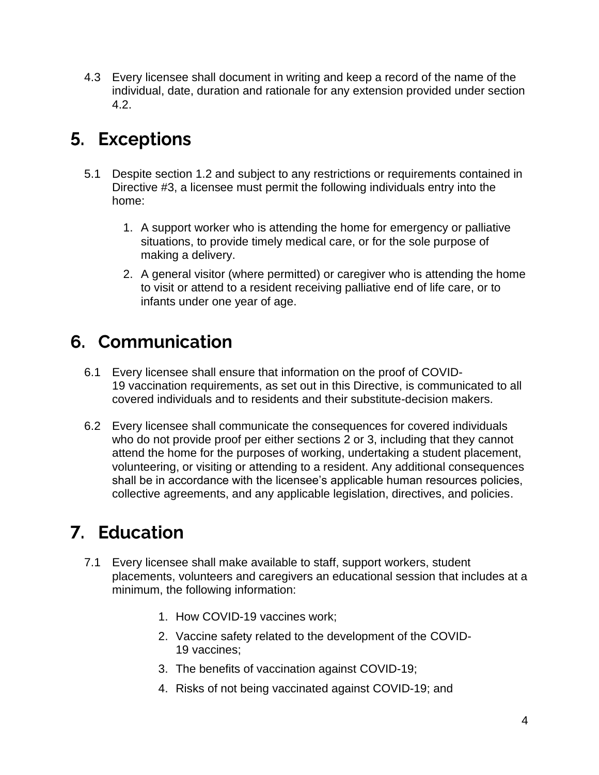4.3 Every licensee shall document in writing and keep a record of the name of the individual, date, duration and rationale for any extension provided under section 4.2.

### 5. Exceptions

- 5.1 Despite section 1.2 and subject to any restrictions or requirements contained in Directive #3, a licensee must permit the following individuals entry into the home:
	- 1. A support worker who is attending the home for emergency or palliative situations, to provide timely medical care, or for the sole purpose of making a delivery.
	- 2. A general visitor (where permitted) or caregiver who is attending the home to visit or attend to a resident receiving palliative end of life care, or to infants under one year of age.

# 6. Communication

- 6.1 Every licensee shall ensure that information on the proof of COVID-19 vaccination requirements, as set out in this Directive, is communicated to all covered individuals and to residents and their substitute-decision makers.
- 6.2 Every licensee shall communicate the consequences for covered individuals who do not provide proof per either sections 2 or 3, including that they cannot attend the home for the purposes of working, undertaking a student placement, volunteering, or visiting or attending to a resident. Any additional consequences shall be in accordance with the licensee's applicable human resources policies, collective agreements, and any applicable legislation, directives, and policies.

## 7. Education

- 7.1 Every licensee shall make available to staff, support workers, student placements, volunteers and caregivers an educational session that includes at a minimum, the following information:
	- 1. How COVID-19 vaccines work;
	- 2. Vaccine safety related to the development of the COVID-19 vaccines;
	- 3. The benefits of vaccination against COVID-19;
	- 4. Risks of not being vaccinated against COVID-19; and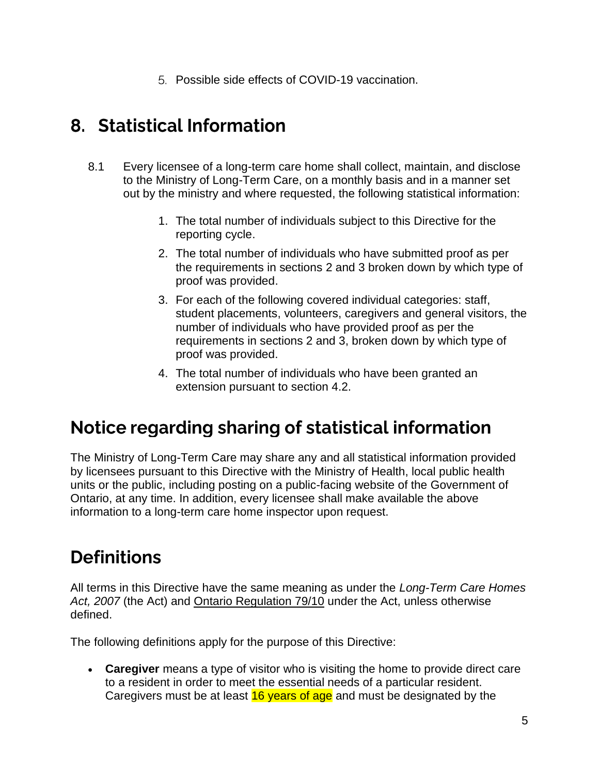Possible side effects of COVID-19 vaccination.

### 8. Statistical Information

- 8.1 Every licensee of a long-term care home shall collect, maintain, and disclose to the Ministry of Long-Term Care, on a monthly basis and in a manner set out by the ministry and where requested, the following statistical information:
	- 1. The total number of individuals subject to this Directive for the reporting cycle.
	- 2. The total number of individuals who have submitted proof as per the requirements in sections 2 and 3 broken down by which type of proof was provided.
	- 3. For each of the following covered individual categories: staff, student placements, volunteers, caregivers and general visitors, the number of individuals who have provided proof as per the requirements in sections 2 and 3, broken down by which type of proof was provided.
	- 4. The total number of individuals who have been granted an extension pursuant to section 4.2.

### Notice regarding sharing of statistical information

The Ministry of Long-Term Care may share any and all statistical information provided by licensees pursuant to this Directive with the Ministry of Health, local public health units or the public, including posting on a public-facing website of the Government of Ontario, at any time. In addition, every licensee shall make available the above information to a long-term care home inspector upon request.

### **Definitions**

All terms in this Directive have the same meaning as under the *Long-Term Care Homes Act, 2007* (the Act) and [Ontario Regulation 79/10](https://www.ontario.ca/laws/regulation/100079) under the Act, unless otherwise defined.

The following definitions apply for the purpose of this Directive:

• **Caregiver** means a type of visitor who is visiting the home to provide direct care to a resident in order to meet the essential needs of a particular resident. Caregivers must be at least 16 years of age and must be designated by the